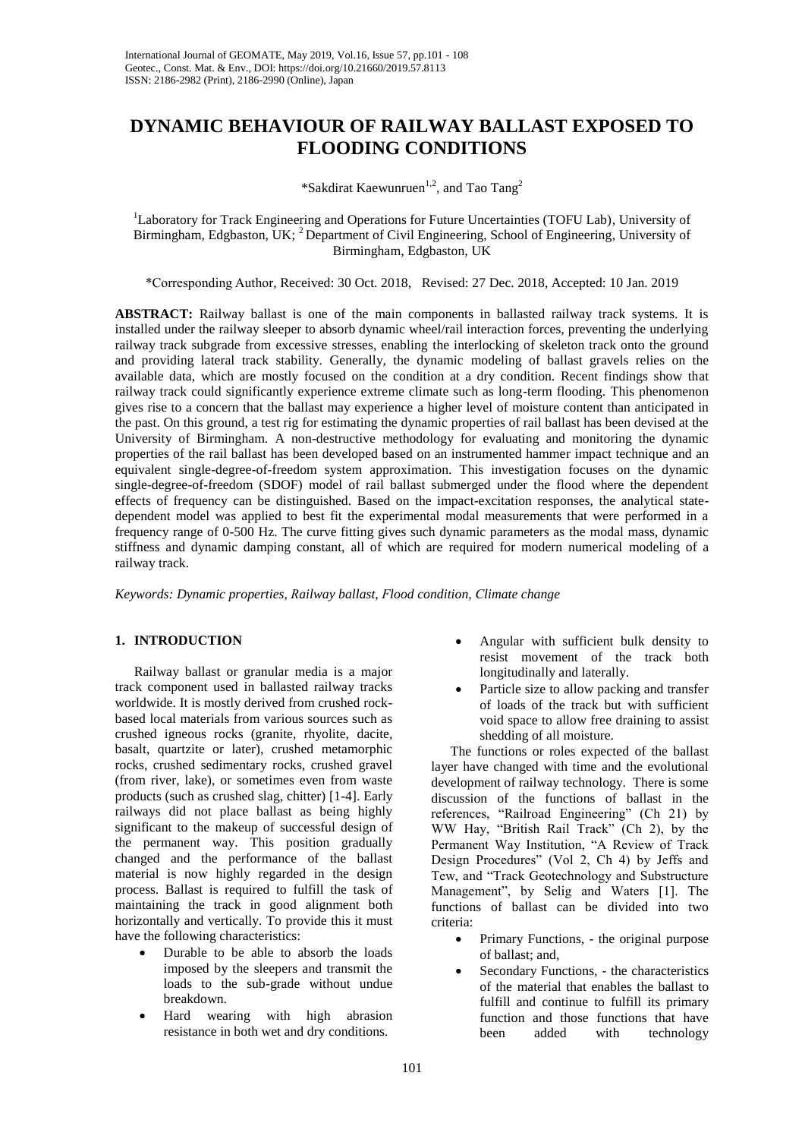# **DYNAMIC BEHAVIOUR OF RAILWAY BALLAST EXPOSED TO FLOODING CONDITIONS**

# \*Sakdirat Kaewunruen<sup>1,2</sup>, and Tao Tang<sup>2</sup>

<sup>1</sup>Laboratory for Track Engineering and Operations for Future Uncertainties (TOFU Lab), University of Birmingham, Edgbaston, UK; <sup>2</sup> Department of Civil Engineering, School of Engineering, University of Birmingham, Edgbaston, UK

\*Corresponding Author, Received: 30 Oct. 2018, Revised: 27 Dec. 2018, Accepted: 10 Jan. 2019

**ABSTRACT:** Railway ballast is one of the main components in ballasted railway track systems. It is installed under the railway sleeper to absorb dynamic wheel/rail interaction forces, preventing the underlying railway track subgrade from excessive stresses, enabling the interlocking of skeleton track onto the ground and providing lateral track stability. Generally, the dynamic modeling of ballast gravels relies on the available data, which are mostly focused on the condition at a dry condition. Recent findings show that railway track could significantly experience extreme climate such as long-term flooding. This phenomenon gives rise to a concern that the ballast may experience a higher level of moisture content than anticipated in the past. On this ground, a test rig for estimating the dynamic properties of rail ballast has been devised at the University of Birmingham. A non-destructive methodology for evaluating and monitoring the dynamic properties of the rail ballast has been developed based on an instrumented hammer impact technique and an equivalent single-degree-of-freedom system approximation. This investigation focuses on the dynamic single-degree-of-freedom (SDOF) model of rail ballast submerged under the flood where the dependent effects of frequency can be distinguished. Based on the impact-excitation responses, the analytical statedependent model was applied to best fit the experimental modal measurements that were performed in a frequency range of 0-500 Hz. The curve fitting gives such dynamic parameters as the modal mass, dynamic stiffness and dynamic damping constant, all of which are required for modern numerical modeling of a railway track.

*Keywords: Dynamic properties, Railway ballast, Flood condition, Climate change* 

## **1. INTRODUCTION**

Railway ballast or granular media is a major track component used in ballasted railway tracks worldwide. It is mostly derived from crushed rockbased local materials from various sources such as crushed igneous rocks (granite, rhyolite, dacite, basalt, quartzite or later), crushed metamorphic rocks, crushed sedimentary rocks, crushed gravel (from river, lake), or sometimes even from waste products (such as crushed slag, chitter) [1-4]. Early railways did not place ballast as being highly significant to the makeup of successful design of the permanent way. This position gradually changed and the performance of the ballast material is now highly regarded in the design process. Ballast is required to fulfill the task of maintaining the track in good alignment both horizontally and vertically. To provide this it must have the following characteristics:

- Durable to be able to absorb the loads imposed by the sleepers and transmit the loads to the sub-grade without undue breakdown.
- Hard wearing with high abrasion resistance in both wet and dry conditions.
- Angular with sufficient bulk density to resist movement of the track both longitudinally and laterally.
- Particle size to allow packing and transfer of loads of the track but with sufficient void space to allow free draining to assist shedding of all moisture.

The functions or roles expected of the ballast layer have changed with time and the evolutional development of railway technology. There is some discussion of the functions of ballast in the references, "Railroad Engineering" (Ch 21) by WW Hay, "British Rail Track" (Ch 2), by the Permanent Way Institution, "A Review of Track Design Procedures" (Vol 2, Ch 4) by Jeffs and Tew, and "Track Geotechnology and Substructure Management", by Selig and Waters [1]. The functions of ballast can be divided into two criteria:

- Primary Functions, the original purpose of ballast; and,
- Secondary Functions, the characteristics of the material that enables the ballast to fulfill and continue to fulfill its primary function and those functions that have been added with technology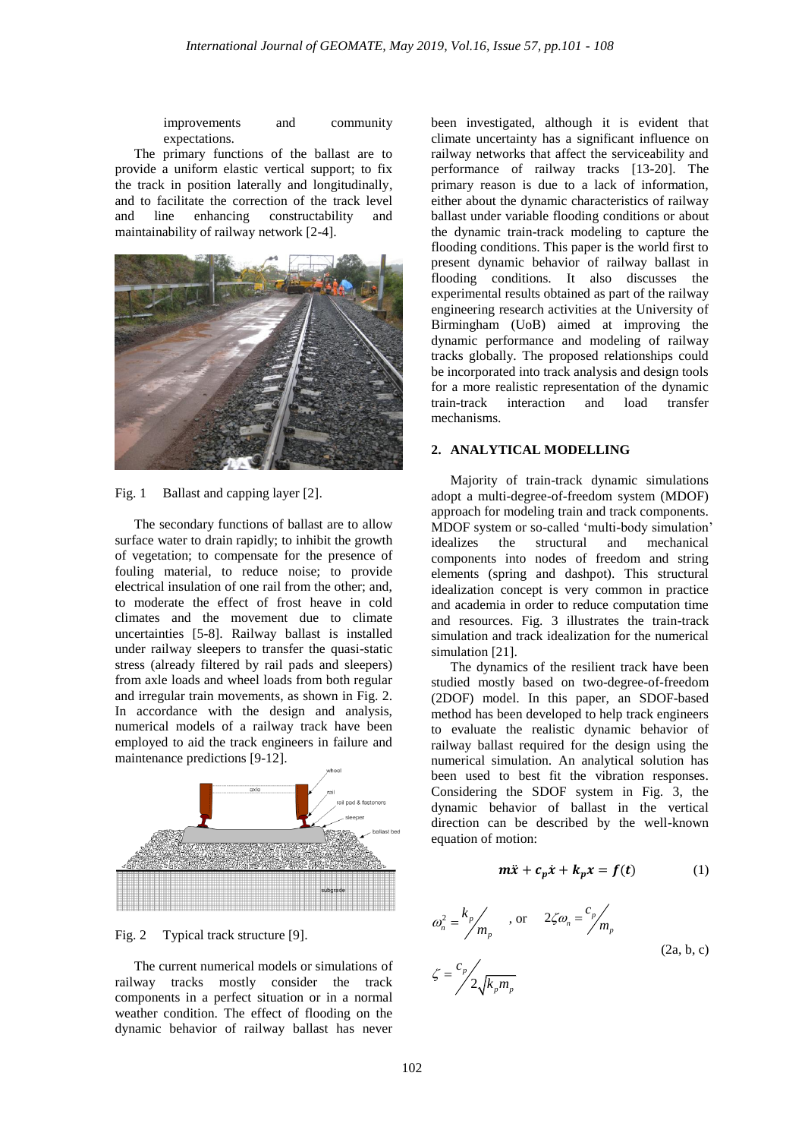improvements and community expectations.

The primary functions of the ballast are to provide a uniform elastic vertical support; to fix the track in position laterally and longitudinally, and to facilitate the correction of the track level and line enhancing constructability and maintainability of railway network [2-4].



Fig. 1 Ballast and capping layer [2].

The secondary functions of ballast are to allow surface water to drain rapidly; to inhibit the growth of vegetation; to compensate for the presence of fouling material, to reduce noise; to provide electrical insulation of one rail from the other; and, to moderate the effect of frost heave in cold climates and the movement due to climate uncertainties [5-8]. Railway ballast is installed under railway sleepers to transfer the quasi-static stress (already filtered by rail pads and sleepers) from axle loads and wheel loads from both regular and irregular train movements, as shown in Fig. 2. In accordance with the design and analysis, numerical models of a railway track have been employed to aid the track engineers in failure and maintenance predictions [9-12].



Fig. 2 Typical track structure [9].

The current numerical models or simulations of railway tracks mostly consider the track components in a perfect situation or in a normal weather condition. The effect of flooding on the dynamic behavior of railway ballast has never

been investigated, although it is evident that climate uncertainty has a significant influence on railway networks that affect the serviceability and performance of railway tracks [13-20]. The primary reason is due to a lack of information, either about the dynamic characteristics of railway ballast under variable flooding conditions or about the dynamic train-track modeling to capture the flooding conditions. This paper is the world first to present dynamic behavior of railway ballast in flooding conditions. It also discusses the experimental results obtained as part of the railway engineering research activities at the University of Birmingham (UoB) aimed at improving the dynamic performance and modeling of railway tracks globally. The proposed relationships could be incorporated into track analysis and design tools for a more realistic representation of the dynamic train-track interaction and load transfer mechanisms.

## **2. ANALYTICAL MODELLING**

Majority of train-track dynamic simulations adopt a multi-degree-of-freedom system (MDOF) approach for modeling train and track components. MDOF system or so-called 'multi-body simulation' idealizes the structural and mechanical components into nodes of freedom and string elements (spring and dashpot). This structural idealization concept is very common in practice and academia in order to reduce computation time and resources. Fig. 3 illustrates the train-track simulation and track idealization for the numerical simulation [21].

The dynamics of the resilient track have been studied mostly based on two-degree-of-freedom (2DOF) model. In this paper, an SDOF-based method has been developed to help track engineers to evaluate the realistic dynamic behavior of railway ballast required for the design using the numerical simulation. An analytical solution has been used to best fit the vibration responses. Considering the SDOF system in Fig. 3, the dynamic behavior of ballast in the vertical direction can be described by the well-known equation of motion:

$$
m\ddot{x} + c_p \dot{x} + k_p x = f(t) \tag{1}
$$

$$
\omega_n^2 = \frac{k_p}{m_p}, \quad \text{or} \quad 2\zeta\omega_n = \frac{c_p}{m_p}
$$
\n
$$
\zeta = \frac{c_p}{2\sqrt{k_p m_p}} \tag{2a, b, c}
$$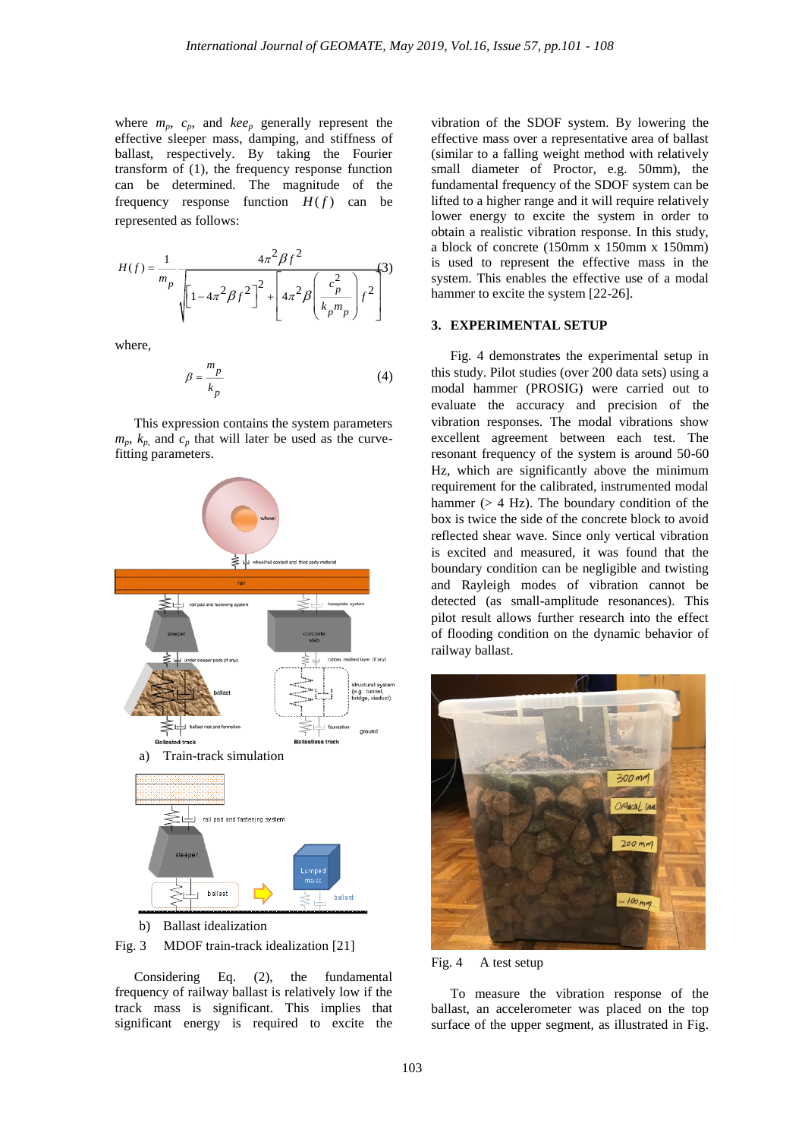where  $m_p$ ,  $c_p$ , and  $kee_p$  generally represent the effective sleeper mass, damping, and stiffness of ballast, respectively. By taking the Fourier transform of (1), the frequency response function can be determined. The magnitude of the frequency response function  $H(f)$  can be represented as follows:

$$
H(f) = \frac{1}{m_p} \frac{4\pi^2 \beta f^2}{\sqrt{\left[1 - 4\pi^2 \beta f^2\right]^2 + \left[4\pi^2 \beta \left(\frac{c_p^2}{k_p m_p}\right) f^2\right]}} \tag{3}
$$

where,

 $\overline{1}$ 

$$
3 = \frac{m_p}{k_p} \tag{4}
$$

This expression contains the system parameters  $m_p$ ,  $k_p$  and  $c_p$  that will later be used as the curvefitting parameters.



b) Ballast idealization

Fig. 3 MDOF train-track idealization [21]

Considering Eq. (2), the fundamental frequency of railway ballast is relatively low if the track mass is significant. This implies that significant energy is required to excite the vibration of the SDOF system. By lowering the effective mass over a representative area of ballast (similar to a falling weight method with relatively small diameter of Proctor, e.g. 50mm), the fundamental frequency of the SDOF system can be lifted to a higher range and it will require relatively lower energy to excite the system in order to obtain a realistic vibration response. In this study, a block of concrete (150mm x 150mm x 150mm) is used to represent the effective mass in the system. This enables the effective use of a modal hammer to excite the system [22-26].

#### **3. EXPERIMENTAL SETUP**

Fig. 4 demonstrates the experimental setup in this study. Pilot studies (over 200 data sets) using a modal hammer (PROSIG) were carried out to evaluate the accuracy and precision of the vibration responses. The modal vibrations show excellent agreement between each test. The resonant frequency of the system is around 50-60 Hz, which are significantly above the minimum requirement for the calibrated, instrumented modal hammer ( $> 4$  Hz). The boundary condition of the box is twice the side of the concrete block to avoid reflected shear wave. Since only vertical vibration is excited and measured, it was found that the boundary condition can be negligible and twisting and Rayleigh modes of vibration cannot be detected (as small-amplitude resonances). This pilot result allows further research into the effect of flooding condition on the dynamic behavior of railway ballast.



Fig. 4 A test setup

To measure the vibration response of the ballast, an accelerometer was placed on the top surface of the upper segment, as illustrated in Fig.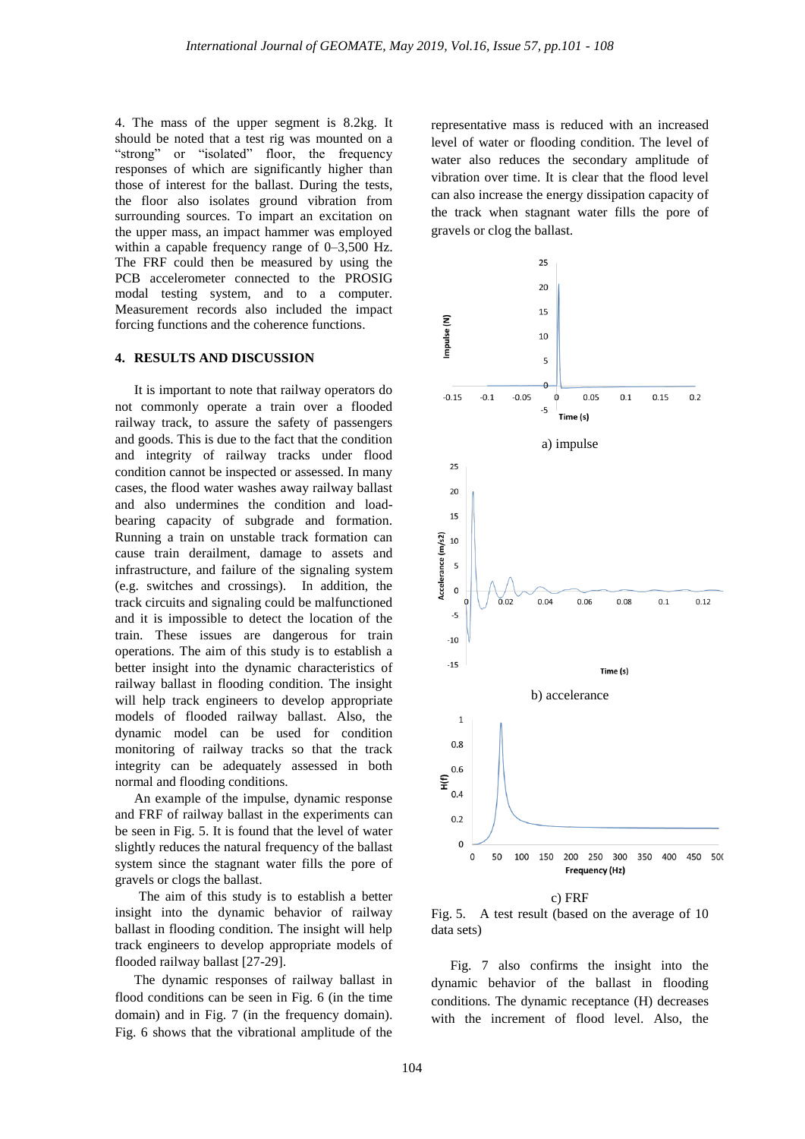4. The mass of the upper segment is 8.2kg. It should be noted that a test rig was mounted on a "strong" or "isolated" floor, the frequency responses of which are significantly higher than those of interest for the ballast. During the tests, the floor also isolates ground vibration from surrounding sources. To impart an excitation on the upper mass, an impact hammer was employed within a capable frequency range of 0–3,500 Hz. The FRF could then be measured by using the PCB accelerometer connected to the PROSIG modal testing system, and to a computer. Measurement records also included the impact forcing functions and the coherence functions.

#### **4. RESULTS AND DISCUSSION**

It is important to note that railway operators do not commonly operate a train over a flooded railway track, to assure the safety of passengers and goods. This is due to the fact that the condition and integrity of railway tracks under flood condition cannot be inspected or assessed. In many cases, the flood water washes away railway ballast and also undermines the condition and loadbearing capacity of subgrade and formation. Running a train on unstable track formation can cause train derailment, damage to assets and infrastructure, and failure of the signaling system (e.g. switches and crossings). In addition, the track circuits and signaling could be malfunctioned and it is impossible to detect the location of the train. These issues are dangerous for train operations. The aim of this study is to establish a better insight into the dynamic characteristics of railway ballast in flooding condition. The insight will help track engineers to develop appropriate models of flooded railway ballast. Also, the dynamic model can be used for condition monitoring of railway tracks so that the track integrity can be adequately assessed in both normal and flooding conditions.

An example of the impulse, dynamic response and FRF of railway ballast in the experiments can be seen in Fig. 5. It is found that the level of water slightly reduces the natural frequency of the ballast system since the stagnant water fills the pore of gravels or clogs the ballast.

The aim of this study is to establish a better insight into the dynamic behavior of railway ballast in flooding condition. The insight will help track engineers to develop appropriate models of flooded railway ballast [27-29].

The dynamic responses of railway ballast in flood conditions can be seen in Fig. 6 (in the time domain) and in Fig. 7 (in the frequency domain). Fig. 6 shows that the vibrational amplitude of the representative mass is reduced with an increased level of water or flooding condition. The level of water also reduces the secondary amplitude of vibration over time. It is clear that the flood level can also increase the energy dissipation capacity of the track when stagnant water fills the pore of gravels or clog the ballast.



Fig. 5. A test result (based on the average of 10 data sets)

Fig. 7 also confirms the insight into the dynamic behavior of the ballast in flooding conditions. The dynamic receptance (H) decreases with the increment of flood level. Also, the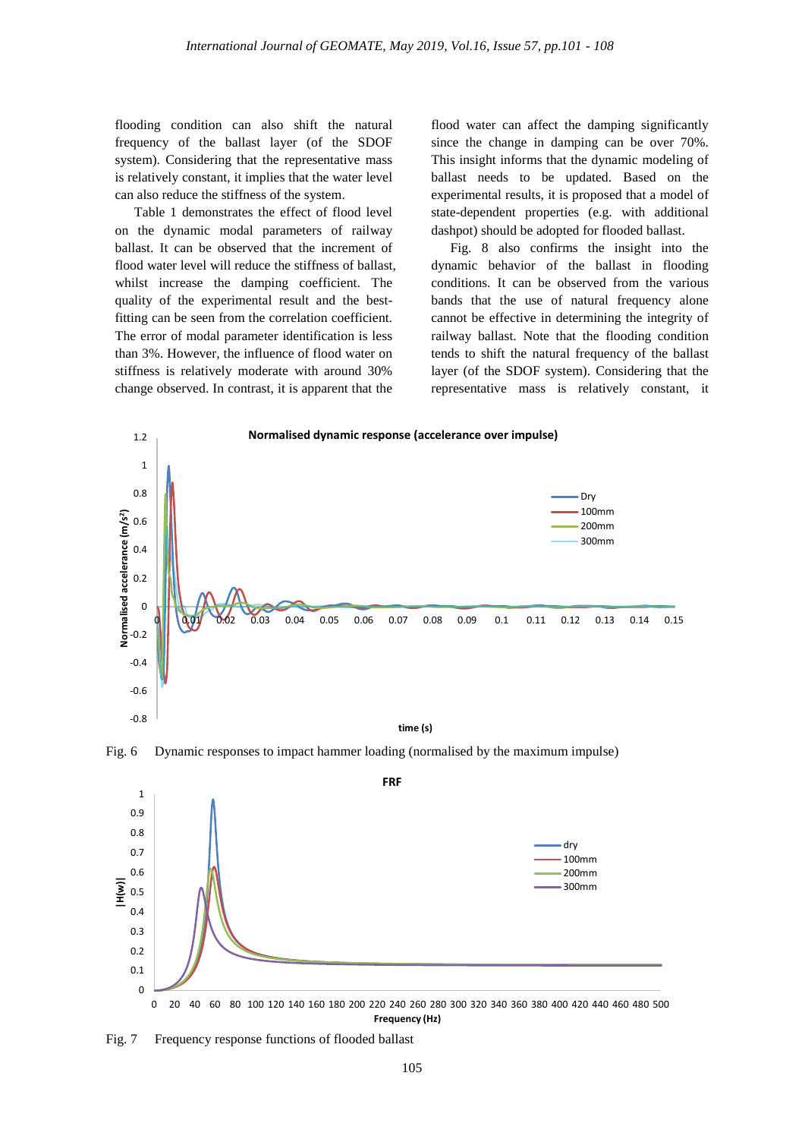flooding condition can also shift the natural frequency of the ballast layer (of the SDOF system). Considering that the representative mass is relatively constant, it implies that the water level can also reduce the stiffness of the system.

Table 1 demonstrates the effect of flood level on the dynamic modal parameters of railway ballast. It can be observed that the increment of flood water level will reduce the stiffness of ballast, whilst increase the damping coefficient. The quality of the experimental result and the bestfitting can be seen from the correlation coefficient. The error of modal parameter identification is less than 3%. However, the influence of flood water on stiffness is relatively moderate with around 30% change observed. In contrast, it is apparent that the

flood water can affect the damping significantly since the change in damping can be over 70%. This insight informs that the dynamic modeling of ballast needs to be updated. Based on the experimental results, it is proposed that a model of state-dependent properties (e.g. with additional dashpot) should be adopted for flooded ballast.

Fig. 8 also confirms the insight into the dynamic behavior of the ballast in flooding conditions. It can be observed from the various bands that the use of natural frequency alone cannot be effective in determining the integrity of railway ballast. Note that the flooding condition tends to shift the natural frequency of the ballast layer (of the SDOF system). Considering that the representative mass is relatively constant, it



Fig. 6 Dynamic responses to impact hammer loading (normalised by the maximum impulse)



Fig. 7 Frequency response functions of flooded ballast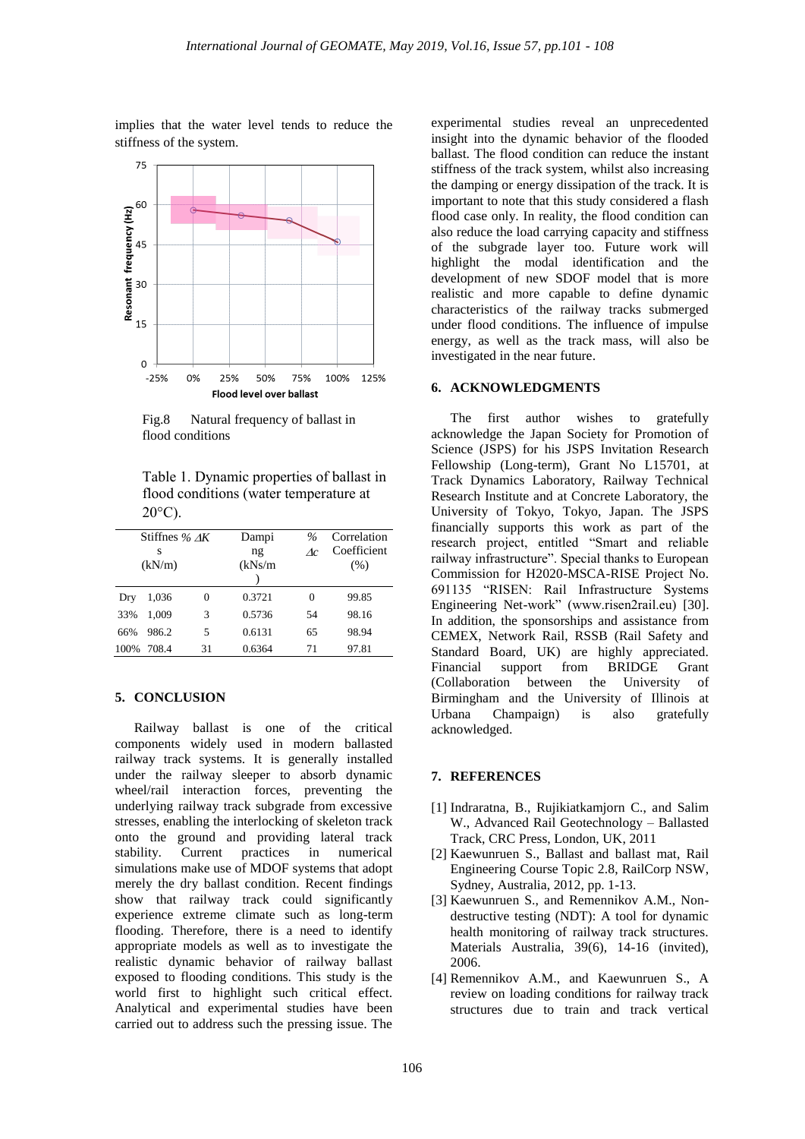implies that the water level tends to reduce the stiffness of the system.



Fig.8 Natural frequency of ballast in flood conditions

Table 1. Dynamic properties of ballast in flood conditions (water temperature at  $20^{\circ}$ C).

| Stiffnes % $\Delta K$ |       |    | Dampi   | $\%$ | Correlation |
|-----------------------|-------|----|---------|------|-------------|
| s                     |       |    | ng      | Ac   | Coefficient |
| (kN/m)                |       |    | (kNs/m) |      | (% )        |
|                       |       |    |         |      |             |
| Dry                   | 1,036 | 0  | 0.3721  | 0    | 99.85       |
| 33%                   | 1.009 | 3  | 0.5736  | 54   | 98.16       |
| 66%                   | 986.2 | 5  | 0.6131  | 65   | 98.94       |
| 100%                  | 708.4 | 31 | 0.6364  | 71   | 97.81       |

#### **5. CONCLUSION**

Railway ballast is one of the critical components widely used in modern ballasted railway track systems. It is generally installed under the railway sleeper to absorb dynamic wheel/rail interaction forces, preventing the underlying railway track subgrade from excessive stresses, enabling the interlocking of skeleton track onto the ground and providing lateral track stability. Current practices in numerical simulations make use of MDOF systems that adopt merely the dry ballast condition. Recent findings show that railway track could significantly experience extreme climate such as long-term flooding. Therefore, there is a need to identify appropriate models as well as to investigate the realistic dynamic behavior of railway ballast exposed to flooding conditions. This study is the world first to highlight such critical effect. Analytical and experimental studies have been carried out to address such the pressing issue. The

experimental studies reveal an unprecedented insight into the dynamic behavior of the flooded ballast. The flood condition can reduce the instant stiffness of the track system, whilst also increasing the damping or energy dissipation of the track. It is important to note that this study considered a flash flood case only. In reality, the flood condition can also reduce the load carrying capacity and stiffness of the subgrade layer too. Future work will highlight the modal identification and the development of new SDOF model that is more realistic and more capable to define dynamic characteristics of the railway tracks submerged under flood conditions. The influence of impulse energy, as well as the track mass, will also be investigated in the near future.

## **6. ACKNOWLEDGMENTS**

The first author wishes to gratefully acknowledge the Japan Society for Promotion of Science (JSPS) for his JSPS Invitation Research Fellowship (Long-term), Grant No L15701, at Track Dynamics Laboratory, Railway Technical Research Institute and at Concrete Laboratory, the University of Tokyo, Tokyo, Japan. The JSPS financially supports this work as part of the research project, entitled "Smart and reliable railway infrastructure". Special thanks to European Commission for H2020-MSCA-RISE Project No. 691135 "RISEN: Rail Infrastructure Systems Engineering Net-work" (www.risen2rail.eu) [30]. In addition, the sponsorships and assistance from CEMEX, Network Rail, RSSB (Rail Safety and Standard Board, UK) are highly appreciated. Financial support from BRIDGE Grant (Collaboration between the University of Birmingham and the University of Illinois at Urbana Champaign) is also gratefully acknowledged.

## **7. REFERENCES**

- [1] Indraratna, B., Rujikiatkamjorn C., and Salim W., Advanced Rail Geotechnology – Ballasted Track, CRC Press, London, UK, 2011
- [2] Kaewunruen S., Ballast and ballast mat, Rail Engineering Course Topic 2.8, RailCorp NSW, Sydney, Australia, 2012, pp. 1-13.
- [3] Kaewunruen S., and Remennikov A.M., Nondestructive testing (NDT): A tool for dynamic health monitoring of railway track structures. Materials Australia, 39(6), 14-16 (invited), 2006.
- [4] Remennikov A.M., and Kaewunruen S., A review on loading conditions for railway track structures due to train and track vertical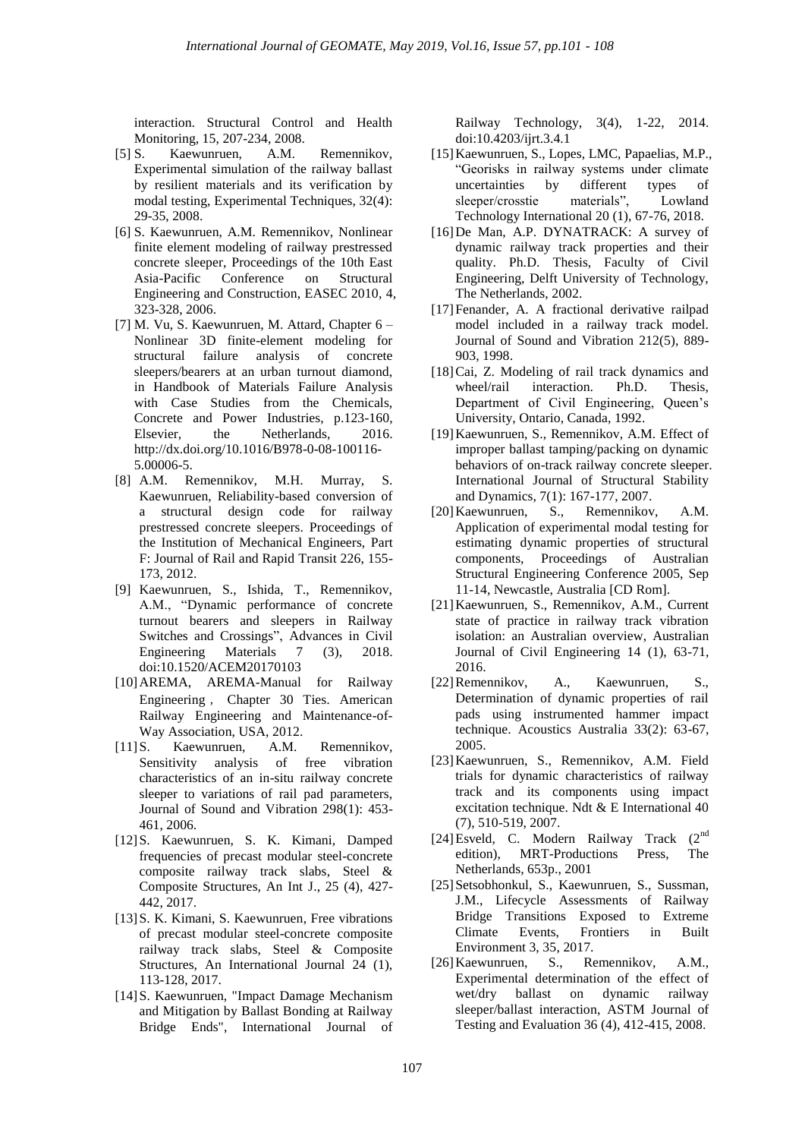interaction. Structural Control and Health Monitoring, 15, 207-234, 2008.

- [5] S. Kaewunruen, A.M. Remennikov, Experimental simulation of the railway ballast by resilient materials and its verification by modal testing, Experimental Techniques, 32(4): 29-35, 2008.
- [6] S. Kaewunruen, A.M. Remennikov, Nonlinear finite element modeling of railway prestressed concrete sleeper, Proceedings of the 10th East Asia-Pacific Conference on Structural Engineering and Construction, EASEC 2010, 4, 323-328, 2006.
- [7] M. Vu, S. Kaewunruen, M. Attard, Chapter 6 Nonlinear 3D finite-element modeling for structural failure analysis of concrete sleepers/bearers at an urban turnout diamond, in Handbook of Materials Failure Analysis with Case Studies from the Chemicals, Concrete and Power Industries, p.123-160, Elsevier, the Netherlands, 2016. http://dx.doi.org/10.1016/B978-0-08-100116- 5.00006-5.
- [8] A.M. Remennikov, M.H. Murray, S. Kaewunruen, Reliability-based conversion of a structural design code for railway prestressed concrete sleepers. Proceedings of the Institution of Mechanical Engineers, Part F: Journal of Rail and Rapid Transit 226, 155- 173, 2012.
- [9] Kaewunruen, S., Ishida, T., Remennikov, A.M., "Dynamic performance of concrete turnout bearers and sleepers in Railway Switches and Crossings", Advances in Civil Engineering Materials 7 (3), 2018. doi:10.1520/ACEM20170103
- [10]AREMA, AREMA-Manual for Railway Engineering , Chapter 30 Ties. American Railway Engineering and Maintenance-of-Way Association, USA, 2012.
- [11]S. Kaewunruen, A.M. Remennikov, Sensitivity analysis of free vibration characteristics of an in-situ railway concrete sleeper to variations of rail pad parameters, Journal of Sound and Vibration 298(1): 453- 461, 2006.
- [12]S. Kaewunruen, S. K. Kimani, Damped frequencies of precast modular steel-concrete composite railway track slabs, Steel & Composite Structures, An Int J., 25 (4), 427- 442, 2017.
- [13]S. K. Kimani, S. Kaewunruen, Free vibrations of precast modular steel-concrete composite railway track slabs, Steel & Composite Structures, An International Journal 24 (1), 113-128, 2017.
- [14]S. Kaewunruen, "Impact Damage Mechanism and Mitigation by Ballast Bonding at Railway Bridge Ends", International Journal of

Railway Technology, 3(4), 1-22, 2014. doi:10.4203/ijrt.3.4.1

- [15]Kaewunruen, S., Lopes, LMC, Papaelias, M.P., "Georisks in railway systems under climate uncertainties by different types of sleeper/crosstie materials", Lowland Technology International 20 (1), 67-76, 2018.
- [16]De Man, A.P. DYNATRACK: A survey of dynamic railway track properties and their quality. Ph.D. Thesis, Faculty of Civil Engineering, Delft University of Technology, The Netherlands, 2002.
- [17]Fenander, A. A fractional derivative railpad model included in a railway track model. Journal of Sound and Vibration 212(5), 889- 903, 1998.
- [18]Cai, Z. Modeling of rail track dynamics and wheel/rail interaction. Ph.D. Thesis, Department of Civil Engineering, Queen's University, Ontario, Canada, 1992.
- [19]Kaewunruen, S., Remennikov, A.M. Effect of improper ballast tamping/packing on dynamic behaviors of on-track railway concrete sleeper. International Journal of Structural Stability and Dynamics, 7(1): 167-177, 2007.
- [20]Kaewunruen, S., Remennikov, A.M. Application of experimental modal testing for estimating dynamic properties of structural components, Proceedings of Australian Structural Engineering Conference 2005, Sep 11-14, Newcastle, Australia [CD Rom].
- [21]Kaewunruen, S., Remennikov, A.M., Current state of practice in railway track vibration isolation: an Australian overview, Australian Journal of Civil Engineering 14 (1), 63-71, 2016.
- [22]Remennikov, A., Kaewunruen, S., Determination of dynamic properties of rail pads using instrumented hammer impact technique. Acoustics Australia 33(2): 63-67, 2005.
- [23]Kaewunruen, S., Remennikov, A.M. Field trials for dynamic characteristics of railway track and its components using impact excitation technique. Ndt & E International 40 (7), 510-519, 2007.
- [24]Esveld, C. Modern Railway Track (2nd edition), MRT-Productions Press, The Netherlands, 653p., 2001
- [25] Setsobhonkul, S., Kaewunruen, S., Sussman, J.M., Lifecycle Assessments of Railway Bridge Transitions Exposed to Extreme Climate Events, Frontiers in Built Environment 3, 35, 2017.
- [26]Kaewunruen, S., Remennikov, A.M., Experimental determination of the effect of wet/dry ballast on dynamic railway sleeper/ballast interaction, ASTM Journal of Testing and Evaluation 36 (4), 412-415, 2008.